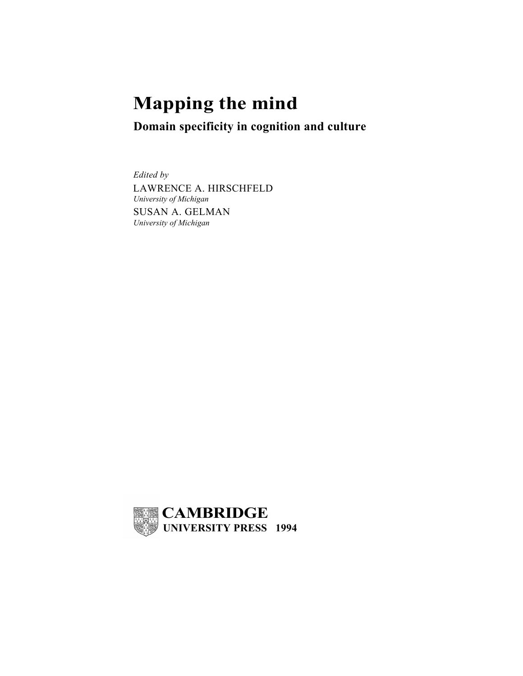# **Mapping the mind**

# **Domain specificity in cognition and culture**

*Edited by* LAWRENCE A. HIRSCHFELD *University of Michigan* SUSAN A. GELMAN *University of Michigan*

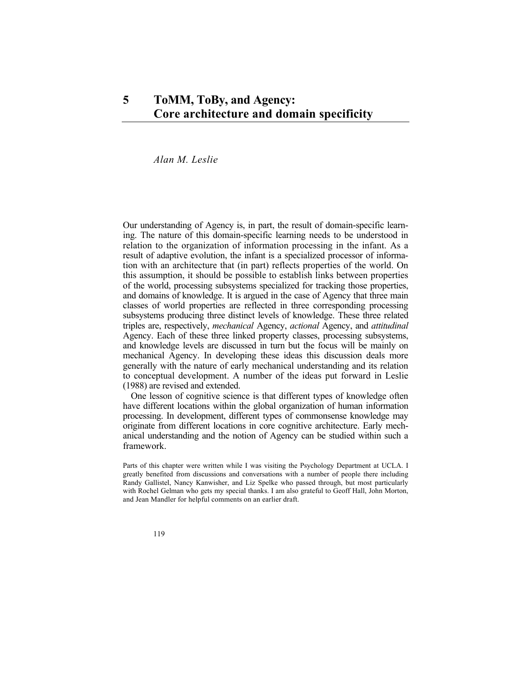# **5 ToMM, ToBy, and Agency: Core architecture and domain specificity**

# *Alan M. Leslie*

Our understanding of Agency is, in part, the result of domain-specific learning. The nature of this domain-specific learning needs to be understood in relation to the organization of information processing in the infant. As a result of adaptive evolution, the infant is a specialized processor of information with an architecture that (in part) reflects properties of the world. On this assumption, it should be possible to establish links between properties of the world, processing subsystems specialized for tracking those properties, and domains of knowledge. It is argued in the case of Agency that three main classes of world properties are reflected in three corresponding processing subsystems producing three distinct levels of knowledge. These three related triples are, respectively, *mechanical* Agency, *actional* Agency, and *attitudinal*  Agency. Each of these three linked property classes, processing subsystems, and knowledge levels are discussed in turn but the focus will be mainly on mechanical Agency. In developing these ideas this discussion deals more generally with the nature of early mechanical understanding and its relation to conceptual development. A number of the ideas put forward in Leslie (1988) are revised and extended.

One lesson of cognitive science is that different types of knowledge often have different locations within the global organization of human information processing. In development, different types of commonsense knowledge may originate from different locations in core cognitive architecture. Early mechanical understanding and the notion of Agency can be studied within such a framework.

Parts of this chapter were written while I was visiting the Psychology Department at UCLA. I greatly benefited from discussions and conversations with a number of people there including Randy Gallistel, Nancy Kanwisher, and Liz Spelke who passed through, but most particularly with Rochel Gelman who gets my special thanks. I am also grateful to Geoff Hall, John Morton, and Jean Mandler for helpful comments on an earlier draft.

119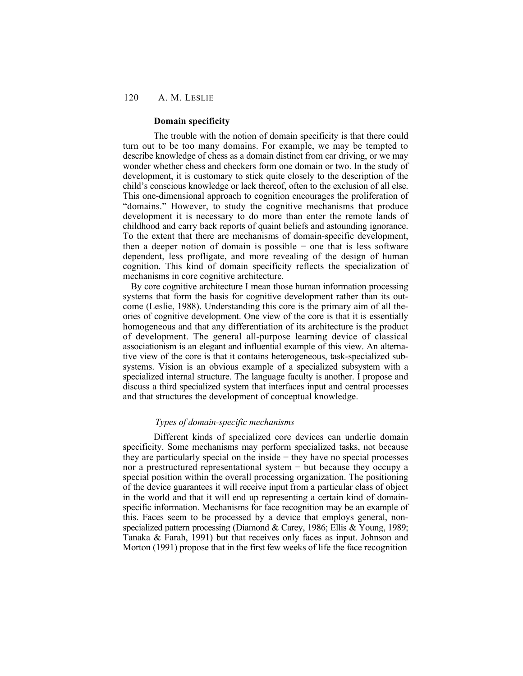#### **Domain specificity**

The trouble with the notion of domain specificity is that there could turn out to be too many domains. For example, we may be tempted to describe knowledge of chess as a domain distinct from car driving, or we may wonder whether chess and checkers form one domain or two. In the study of development, it is customary to stick quite closely to the description of the child's conscious knowledge or lack thereof, often to the exclusion of all else. This one-dimensional approach to cognition encourages the proliferation of "domains." However, to study the cognitive mechanisms that produce development it is necessary to do more than enter the remote lands of childhood and carry back reports of quaint beliefs and astounding ignorance. To the extent that there are mechanisms of domain-specific development, then a deeper notion of domain is possible − one that is less software dependent, less profligate, and more revealing of the design of human cognition. This kind of domain specificity reflects the specialization of mechanisms in core cognitive architecture.

By core cognitive architecture I mean those human information processing systems that form the basis for cognitive development rather than its outcome (Leslie, 1988). Understanding this core is the primary aim of all theories of cognitive development. One view of the core is that it is essentially homogeneous and that any differentiation of its architecture is the product of development. The general all-purpose learning device of classical associationism is an elegant and influential example of this view. An alternative view of the core is that it contains heterogeneous, task-specialized subsystems. Vision is an obvious example of a specialized subsystem with a specialized internal structure. The language faculty is another. I propose and discuss a third specialized system that interfaces input and central processes and that structures the development of conceptual knowledge.

# *Types of domain-specific mechanisms*

Different kinds of specialized core devices can underlie domain specificity. Some mechanisms may perform specialized tasks, not because they are particularly special on the inside − they have no special processes nor a prestructured representational system − but because they occupy a special position within the overall processing organization. The positioning of the device guarantees it will receive input from a particular class of object in the world and that it will end up representing a certain kind of domainspecific information. Mechanisms for face recognition may be an example of this. Faces seem to be processed by a device that employs general, nonspecialized pattern processing (Diamond & Carey, 1986; Ellis & Young, 1989; Tanaka & Farah, 1991) but that receives only faces as input. Johnson and Morton (1991) propose that in the first few weeks of life the face recognition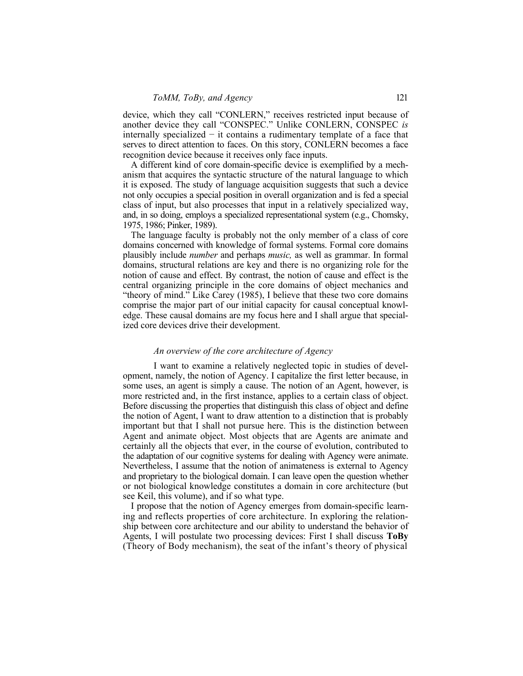device, which they call "CONLERN," receives restricted input because of another device they call "CONSPEC." Unlike CONLERN, CONSPEC *is*  internally specialized − it contains a rudimentary template of a face that serves to direct attention to faces. On this story, CONLERN becomes a face recognition device because it receives only face inputs.

A different kind of core domain-specific device is exemplified by a mechanism that acquires the syntactic structure of the natural language to which it is exposed. The study of language acquisition suggests that such a device not only occupies a special position in overall organization and is fed a special class of input, but also processes that input in a relatively specialized way, and, in so doing, employs a specialized representational system (e.g., Chomsky, 1975, 1986; Pinker, 1989).

The language faculty is probably not the only member of a class of core domains concerned with knowledge of formal systems. Formal core domains plausibly include *number* and perhaps *music,* as well as grammar. In formal domains, structural relations are key and there is no organizing role for the notion of cause and effect. By contrast, the notion of cause and effect is the central organizing principle in the core domains of object mechanics and "theory of mind." Like Carey (1985), I believe that these two core domains comprise the major part of our initial capacity for causal conceptual knowledge. These causal domains are my focus here and I shall argue that specialized core devices drive their development.

#### *An overview of the core architecture of Agency*

I want to examine a relatively neglected topic in studies of development, namely, the notion of Agency. I capitalize the first letter because, in some uses, an agent is simply a cause. The notion of an Agent, however, is more restricted and, in the first instance, applies to a certain class of object. Before discussing the properties that distinguish this class of object and define the notion of Agent, I want to draw attention to a distinction that is probably important but that I shall not pursue here. This is the distinction between Agent and animate object. Most objects that are Agents are animate and certainly all the objects that ever, in the course of evolution, contributed to the adaptation of our cognitive systems for dealing with Agency were animate. Nevertheless, I assume that the notion of animateness is external to Agency and proprietary to the biological domain. I can leave open the question whether or not biological knowledge constitutes a domain in core architecture (but see Keil, this volume), and if so what type.

I propose that the notion of Agency emerges from domain-specific learning and reflects properties of core architecture. In exploring the relationship between core architecture and our ability to understand the behavior of Agents, I will postulate two processing devices: First I shall discuss **ToBy**  (Theory of Body mechanism), the seat of the infant's theory of physical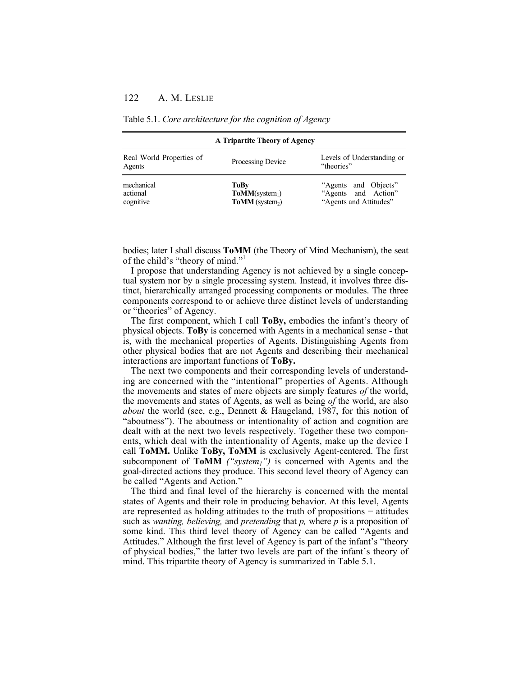|                                     | A Tripartite Theory of Agency                                            |                                                                       |
|-------------------------------------|--------------------------------------------------------------------------|-----------------------------------------------------------------------|
| Real World Properties of<br>Agents  | <b>Processing Device</b>                                                 | Levels of Understanding or<br>"theories"                              |
| mechanical<br>actional<br>cognitive | <b>ToBy</b><br>ToMM(system <sub>1</sub> )<br>ToMM (system <sub>2</sub> ) | "Agents and Objects"<br>"Agents and Action"<br>"Agents and Attitudes" |

Table 5.1. *Core architecture for the cognition of Agency*

bodies; later I shall discuss **ToMM** (the Theory of Mind Mechanism), the seat of the child's "theory of mind."<sup>1</sup>

I propose that understanding Agency is not achieved by a single conceptual system nor by a single processing system. Instead, it involves three distinct, hierarchically arranged processing components or modules. The three components correspond to or achieve three distinct levels of understanding or "theories" of Agency.

The first component, which I call **ToBy,** embodies the infant's theory of physical objects. **ToBy** is concerned with Agents in a mechanical sense - that is, with the mechanical properties of Agents. Distinguishing Agents from other physical bodies that are not Agents and describing their mechanical interactions are important functions of **ToBy.**

The next two components and their corresponding levels of understanding are concerned with the "intentional" properties of Agents. Although the movements and states of mere objects are simply features *of* the world, the movements and states of Agents, as well as being *of* the world, are also *about* the world (see, e.g., Dennett & Haugeland, 1987, for this notion of "aboutness"). The aboutness or intentionality of action and cognition are dealt with at the next two levels respectively. Together these two components, which deal with the intentionality of Agents, make up the device I call **ToMM.** Unlike **ToBy, ToMM** is exclusively Agent-centered. The first subcomponent of **ToMM** *("system<sub>1</sub>")* is concerned with Agents and the goal-directed actions they produce. This second level theory of Agency can be called "Agents and Action."

The third and final level of the hierarchy is concerned with the mental states of Agents and their role in producing behavior. At this level, Agents are represented as holding attitudes to the truth of propositions − attitudes such as *wanting, believing,* and *pretending* that *p,* where *p* is a proposition of some kind. This third level theory of Agency can be called "Agents and Attitudes." Although the first level of Agency is part of the infant's "theory of physical bodies," the latter two levels are part of the infant's theory of mind. This tripartite theory of Agency is summarized in Table 5.1.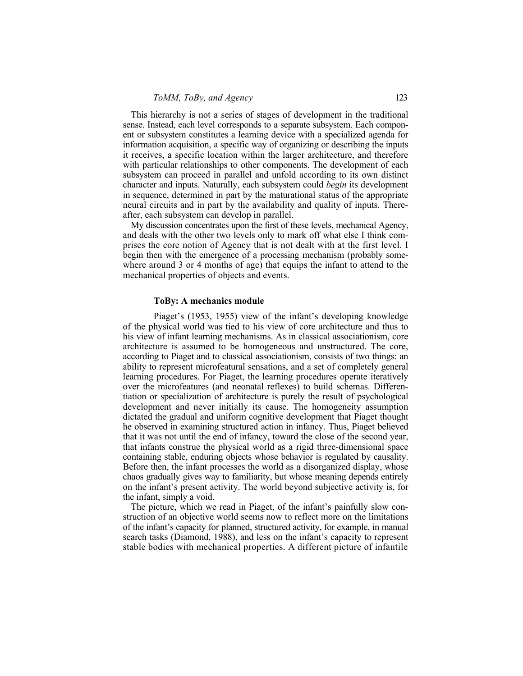This hierarchy is not a series of stages of development in the traditional sense. Instead, each level corresponds to a separate subsystem. Each component or subsystem constitutes a learning device with a specialized agenda for information acquisition, a specific way of organizing or describing the inputs it receives, a specific location within the larger architecture, and therefore with particular relationships to other components. The development of each subsystem can proceed in parallel and unfold according to its own distinct character and inputs. Naturally, each subsystem could *begin* its development in sequence, determined in part by the maturational status of the appropriate neural circuits and in part by the availability and quality of inputs. Thereafter, each subsystem can develop in parallel.

My discussion concentrates upon the first of these levels, mechanical Agency, and deals with the other two levels only to mark off what else I think comprises the core notion of Agency that is not dealt with at the first level. I begin then with the emergence of a processing mechanism (probably somewhere around 3 or 4 months of age) that equips the infant to attend to the mechanical properties of objects and events.

#### **ToBy: A mechanics module**

Piaget's (1953, 1955) view of the infant's developing knowledge of the physical world was tied to his view of core architecture and thus to his view of infant learning mechanisms. As in classical associationism, core architecture is assumed to be homogeneous and unstructured. The core, according to Piaget and to classical associationism, consists of two things: an ability to represent microfeatural sensations, and a set of completely general learning procedures. For Piaget, the learning procedures operate iteratively over the microfeatures (and neonatal reflexes) to build schemas. Differentiation or specialization of architecture is purely the result of psychological development and never initially its cause. The homogeneity assumption dictated the gradual and uniform cognitive development that Piaget thought he observed in examining structured action in infancy. Thus, Piaget believed that it was not until the end of infancy, toward the close of the second year, that infants construe the physical world as a rigid three-dimensional space containing stable, enduring objects whose behavior is regulated by causality. Before then, the infant processes the world as a disorganized display, whose chaos gradually gives way to familiarity, but whose meaning depends entirely on the infant's present activity. The world beyond subjective activity is, for the infant, simply a void.

The picture, which we read in Piaget, of the infant's painfully slow construction of an objective world seems now to reflect more on the limitations of the infant's capacity for planned, structured activity, for example, in manual search tasks (Diamond, 1988), and less on the infant's capacity to represent stable bodies with mechanical properties. A different picture of infantile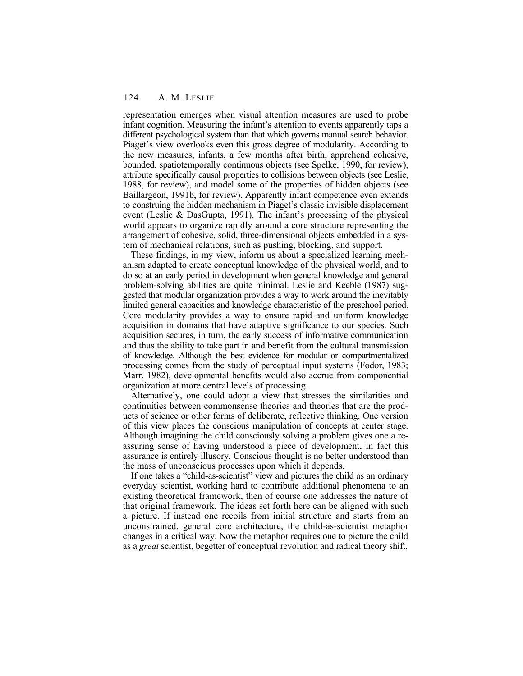representation emerges when visual attention measures are used to probe infant cognition. Measuring the infant's attention to events apparently taps a different psychological system than that which governs manual search behavior. Piaget's view overlooks even this gross degree of modularity. According to the new measures, infants, a few months after birth, apprehend cohesive, bounded, spatiotemporally continuous objects (see Spelke, 1990, for review), attribute specifically causal properties to collisions between objects (see Leslie, 1988, for review), and model some of the properties of hidden objects (see Baillargeon, 1991b, for review). Apparently infant competence even extends to construing the hidden mechanism in Piaget's classic invisible displacement event (Leslie & DasGupta, 1991). The infant's processing of the physical world appears to organize rapidly around a core structure representing the arrangement of cohesive, solid, three-dimensional objects embedded in a system of mechanical relations, such as pushing, blocking, and support.

These findings, in my view, inform us about a specialized learning mechanism adapted to create conceptual knowledge of the physical world, and to do so at an early period in development when general knowledge and general problem-solving abilities are quite minimal. Leslie and Keeble (1987) suggested that modular organization provides a way to work around the inevitably limited general capacities and knowledge characteristic of the preschool period. Core modularity provides a way to ensure rapid and uniform knowledge acquisition in domains that have adaptive significance to our species. Such acquisition secures, in turn, the early success of informative communication and thus the ability to take part in and benefit from the cultural transmission of knowledge. Although the best evidence for modular or compartmentalized processing comes from the study of perceptual input systems (Fodor, 1983; Marr, 1982), developmental benefits would also accrue from componential organization at more central levels of processing.

Alternatively, one could adopt a view that stresses the similarities and continuities between commonsense theories and theories that are the products of science or other forms of deliberate, reflective thinking. One version of this view places the conscious manipulation of concepts at center stage. Although imagining the child consciously solving a problem gives one a reassuring sense of having understood a piece of development, in fact this assurance is entirely illusory. Conscious thought is no better understood than the mass of unconscious processes upon which it depends.

If one takes a "child-as-scientist" view and pictures the child as an ordinary everyday scientist, working hard to contribute additional phenomena to an existing theoretical framework, then of course one addresses the nature of that original framework. The ideas set forth here can be aligned with such a picture. If instead one recoils from initial structure and starts from an unconstrained, general core architecture, the child-as-scientist metaphor changes in a critical way. Now the metaphor requires one to picture the child as a *great* scientist, begetter of conceptual revolution and radical theory shift.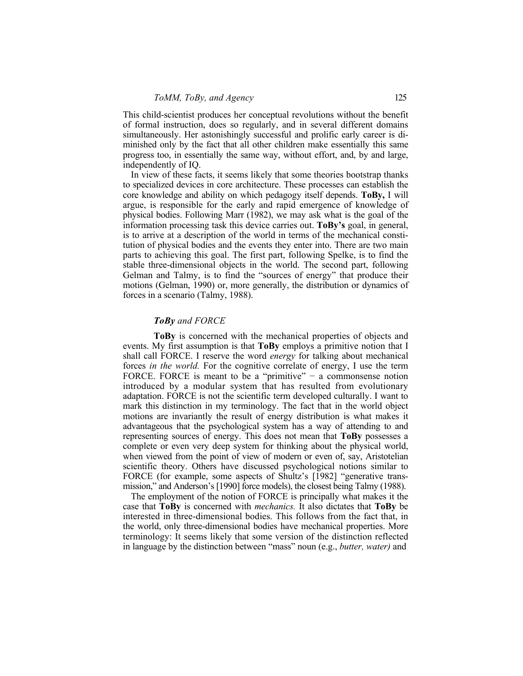This child-scientist produces her conceptual revolutions without the benefit of formal instruction, does so regularly, and in several different domains simultaneously. Her astonishingly successful and prolific early career is diminished only by the fact that all other children make essentially this same progress too, in essentially the same way, without effort, and, by and large, independently of IQ.

In view of these facts, it seems likely that some theories bootstrap thanks to specialized devices in core architecture. These processes can establish the core knowledge and ability on which pedagogy itself depends. **ToBy,** I will argue, is responsible for the early and rapid emergence of knowledge of physical bodies. Following Marr (1982), we may ask what is the goal of the information processing task this device carries out. **ToBy's** goal, in general, is to arrive at a description of the world in terms of the mechanical constitution of physical bodies and the events they enter into. There are two main parts to achieving this goal. The first part, following Spelke, is to find the stable three-dimensional objects in the world. The second part, following Gelman and Talmy, is to find the "sources of energy" that produce their motions (Gelman, 1990) or, more generally, the distribution or dynamics of forces in a scenario (Talmy, 1988).

#### *ToBy and FORCE*

**ToBy** is concerned with the mechanical properties of objects and events. My first assumption is that **ToBy** employs a primitive notion that I shall call FORCE. I reserve the word *energy* for talking about mechanical forces *in the world.* For the cognitive correlate of energy, I use the term FORCE. FORCE is meant to be a "primitive"  $-$  a commonsense notion introduced by a modular system that has resulted from evolutionary adaptation. FORCE is not the scientific term developed culturally. I want to mark this distinction in my terminology. The fact that in the world object motions are invariantly the result of energy distribution is what makes it advantageous that the psychological system has a way of attending to and representing sources of energy. This does not mean that **ToBy** possesses a complete or even very deep system for thinking about the physical world, when viewed from the point of view of modern or even of, say, Aristotelian scientific theory. Others have discussed psychological notions similar to FORCE (for example, some aspects of Shultz's [1982] "generative transmission," and Anderson's [1990] force models), the closest being Talmy (1988).

The employment of the notion of FORCE is principally what makes it the case that **ToBy** is concerned with *mechanics.* It also dictates that **ToBy** be interested in three-dimensional bodies. This follows from the fact that, in the world, only three-dimensional bodies have mechanical properties. More terminology: It seems likely that some version of the distinction reflected in language by the distinction between "mass" noun (e.g., *butter, water)* and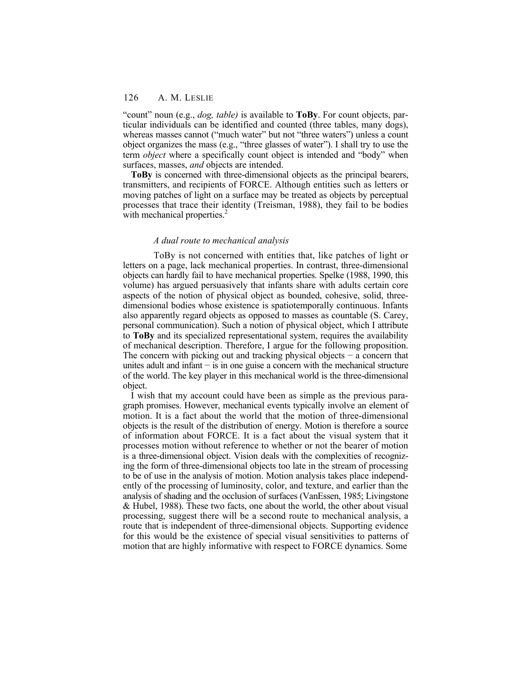"count" noun (e.g., *dog, table)* is available to **ToBy**. For count objects, particular individuals can be identified and counted (three tables, many dogs), whereas masses cannot ("much water" but not "three waters") unless a count object organizes the mass (e.g., "three glasses of water"). I shall try to use the term *object* where a specifically count object is intended and "body" when surfaces, masses, *and* objects are intended.

**ToBy** is concerned with three-dimensional objects as the principal bearers, transmitters, and recipients of FORCE. Although entities such as letters or moving patches of light on a surface may be treated as objects by perceptual processes that trace their identity (Treisman, 1988), they fail to be bodies with mechanical properties.<sup>2</sup>

#### *A dual route to mechanical analysis*

ToBy is not concerned with entities that, like patches of light or letters on a page, lack mechanical properties. In contrast, three-dimensional objects can hardly fail to have mechanical properties. Spelke (1988, 1990, this volume) has argued persuasively that infants share with adults certain core aspects of the notion of physical object as bounded, cohesive, solid, threedimensional bodies whose existence is spatiotemporally continuous. Infants also apparently regard objects as opposed to masses as countable (S. Carey, personal communication). Such a notion of physical object, which I attribute to **ToBy** and its specialized representational system, requires the availability of mechanical description. Therefore, I argue for the following proposition. The concern with picking out and tracking physical objects − a concern that unites adult and infant − is in one guise a concern with the mechanical structure of the world. The key player in this mechanical world is the three-dimensional object.

I wish that my account could have been as simple as the previous paragraph promises. However, mechanical events typically involve an element of motion. It is a fact about the world that the motion of three-dimensional objects is the result of the distribution of energy. Motion is therefore a source of information about FORCE. It is a fact about the visual system that it processes motion without reference to whether or not the bearer of motion is a three-dimensional object. Vision deals with the complexities of recognizing the form of three-dimensional objects too late in the stream of processing to be of use in the analysis of motion. Motion analysis takes place independently of the processing of luminosity, color, and texture, and earlier than the analysis of shading and the occlusion of surfaces (VanEssen, 1985; Livingstone & Hubel, 1988). These two facts, one about the world, the other about visual processing, suggest there will be a second route to mechanical analysis, a route that is independent of three-dimensional objects. Supporting evidence for this would be the existence of special visual sensitivities to patterns of motion that are highly informative with respect to FORCE dynamics. Some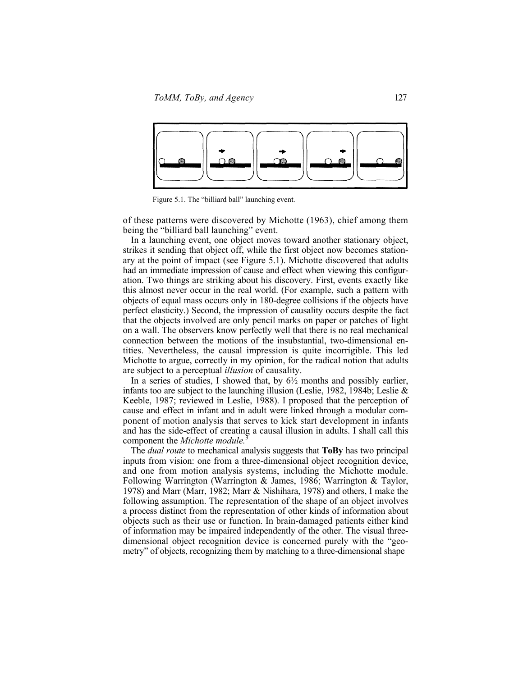

Figure 5.1. The "billiard ball" launching event.

of these patterns were discovered by Michotte (1963), chief among them being the "billiard ball launching" event.

In a launching event, one object moves toward another stationary object, strikes it sending that object off, while the first object now becomes stationary at the point of impact (see Figure 5.1). Michotte discovered that adults had an immediate impression of cause and effect when viewing this configuration. Two things are striking about his discovery. First, events exactly like this almost never occur in the real world. (For example, such a pattern with objects of equal mass occurs only in 180-degree collisions if the objects have perfect elasticity.) Second, the impression of causality occurs despite the fact that the objects involved are only pencil marks on paper or patches of light on a wall. The observers know perfectly well that there is no real mechanical connection between the motions of the insubstantial, two-dimensional entities. Nevertheless, the causal impression is quite incorrigible. This led Michotte to argue, correctly in my opinion, for the radical notion that adults are subject to a perceptual *illusion* of causality.

In a series of studies, I showed that, by  $6\frac{1}{2}$  months and possibly earlier, infants too are subject to the launching illusion (Leslie, 1982, 1984b; Leslie & Keeble, 1987; reviewed in Leslie, 1988). I proposed that the perception of cause and effect in infant and in adult were linked through a modular component of motion analysis that serves to kick start development in infants and has the side-effect of creating a causal illusion in adults. I shall call this component the *Michotte module*.<sup>3</sup>

The *dual route* to mechanical analysis suggests that **ToBy** has two principal inputs from vision: one from a three-dimensional object recognition device, and one from motion analysis systems, including the Michotte module. Following Warrington (Warrington & James, 1986; Warrington & Taylor, 1978) and Marr (Marr, 1982; Marr & Nishihara, 1978) and others, I make the following assumption. The representation of the shape of an object involves a process distinct from the representation of other kinds of information about objects such as their use or function. In brain-damaged patients either kind of information may be impaired independently of the other. The visual threedimensional object recognition device is concerned purely with the "geometry" of objects, recognizing them by matching to a three-dimensional shape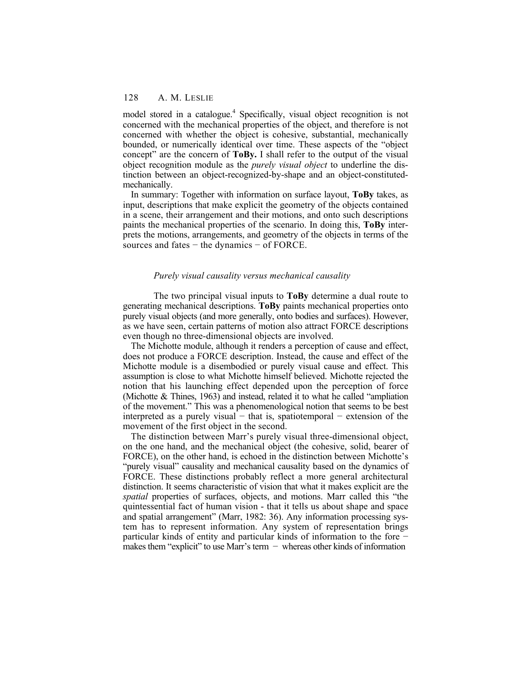model stored in a catalogue.<sup>4</sup> Specifically, visual object recognition is not concerned with the mechanical properties of the object, and therefore is not concerned with whether the object is cohesive, substantial, mechanically bounded, or numerically identical over time. These aspects of the "object concept" are the concern of **ToBy.** I shall refer to the output of the visual object recognition module as the *purely visual object* to underline the distinction between an object-recognized-by-shape and an object-constitutedmechanically.

In summary: Together with information on surface layout, **ToBy** takes, as input, descriptions that make explicit the geometry of the objects contained in a scene, their arrangement and their motions, and onto such descriptions paints the mechanical properties of the scenario. In doing this, **ToBy** interprets the motions, arrangements, and geometry of the objects in terms of the sources and fates – the dynamics – of FORCE.

#### *Purely visual causality versus mechanical causality*

The two principal visual inputs to **ToBy** determine a dual route to generating mechanical descriptions. **ToBy** paints mechanical properties onto purely visual objects (and more generally, onto bodies and surfaces). However, as we have seen, certain patterns of motion also attract FORCE descriptions even though no three-dimensional objects are involved.

The Michotte module, although it renders a perception of cause and effect, does not produce a FORCE description. Instead, the cause and effect of the Michotte module is a disembodied or purely visual cause and effect. This assumption is close to what Michotte himself believed. Michotte rejected the notion that his launching effect depended upon the perception of force (Michotte & Thines, 1963) and instead, related it to what he called "ampliation of the movement." This was a phenomenological notion that seems to be best interpreted as a purely visual − that is, spatiotemporal − extension of the movement of the first object in the second.

The distinction between Marr's purely visual three-dimensional object, on the one hand, and the mechanical object (the cohesive, solid, bearer of FORCE), on the other hand, is echoed in the distinction between Michotte's "purely visual" causality and mechanical causality based on the dynamics of FORCE. These distinctions probably reflect a more general architectural distinction. It seems characteristic of vision that what it makes explicit are the *spatial* properties of surfaces, objects, and motions. Marr called this "the quintessential fact of human vision - that it tells us about shape and space and spatial arrangement" (Marr, 1982: 36). Any information processing system has to represent information. Any system of representation brings particular kinds of entity and particular kinds of information to the fore − makes them "explicit" to use Marr's term − whereas other kinds of information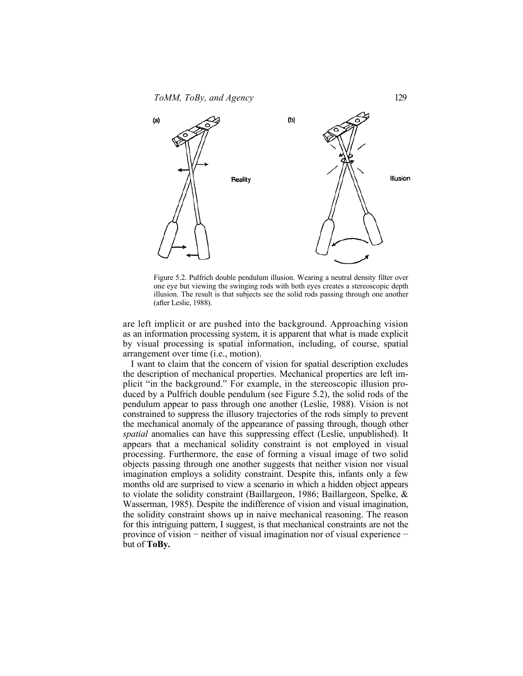

Figure 5.2. Pulfrich double pendulum illusion. Wearing a neutral density filter over one eye but viewing the swinging rods with both eyes creates a stereoscopic depth illusion. The result is that subjects see the solid rods passing through one another (after Leslie, 1988).

are left implicit or are pushed into the background. Approaching vision as an information processing system, it is apparent that what is made explicit by visual processing is spatial information, including, of course, spatial arrangement over time (i.e., motion).

I want to claim that the concern of vision for spatial description excludes the description of mechanical properties. Mechanical properties are left implicit "in the background." For example, in the stereoscopic illusion produced by a Pulfrich double pendulum (see Figure 5.2), the solid rods of the pendulum appear to pass through one another (Leslie, 1988). Vision is not constrained to suppress the illusory trajectories of the rods simply to prevent the mechanical anomaly of the appearance of passing through, though other *spatial* anomalies can have this suppressing effect (Leslie, unpublished). It appears that a mechanical solidity constraint is not employed in visual processing. Furthermore, the ease of forming a visual image of two solid objects passing through one another suggests that neither vision nor visual imagination employs a solidity constraint. Despite this, infants only a few months old are surprised to view a scenario in which a hidden object appears to violate the solidity constraint (Baillargeon, 1986; Baillargeon, Spelke, & Wasserman, 1985). Despite the indifference of vision and visual imagination, the solidity constraint shows up in naive mechanical reasoning. The reason for this intriguing pattern, I suggest, is that mechanical constraints are not the province of vision − neither of visual imagination nor of visual experience − but of **ToBy.**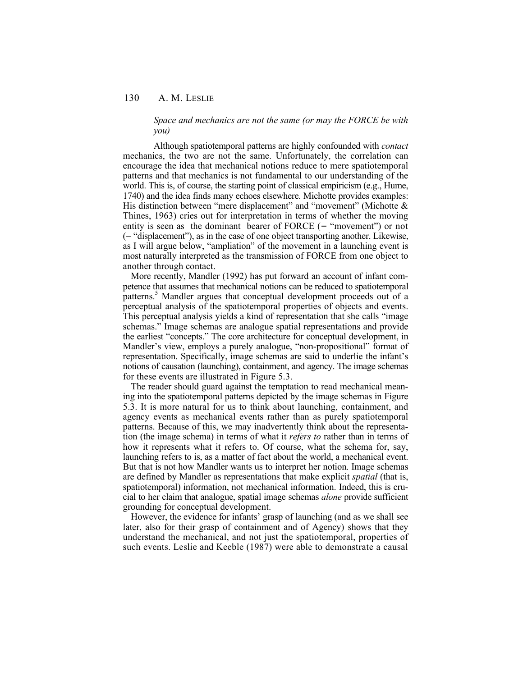#### *Space and mechanics are not the same (or may the FORCE be with you)*

Although spatiotemporal patterns are highly confounded with *contact*  mechanics, the two are not the same. Unfortunately, the correlation can encourage the idea that mechanical notions reduce to mere spatiotemporal patterns and that mechanics is not fundamental to our understanding of the world. This is, of course, the starting point of classical empiricism (e.g., Hume, 1740) and the idea finds many echoes elsewhere. Michotte provides examples: His distinction between "mere displacement" and "movement" (Michotte & Thines, 1963) cries out for interpretation in terms of whether the moving entity is seen as the dominant bearer of FORCE (*=* "movement") or not (= "displacement"), as in the case of one object transporting another. Likewise, as I will argue below, "ampliation" of the movement in a launching event is most naturally interpreted as the transmission of FORCE from one object to another through contact.

More recently, Mandler (1992) has put forward an account of infant competence that assumes that mechanical notions can be reduced to spatiotemporal patterns.<sup>5</sup> Mandler argues that conceptual development proceeds out of a perceptual analysis of the spatiotemporal properties of objects and events. This perceptual analysis yields a kind of representation that she calls "image schemas." Image schemas are analogue spatial representations and provide the earliest "concepts." The core architecture for conceptual development, in Mandler's view, employs a purely analogue, "non-propositional" format of representation. Specifically, image schemas are said to underlie the infant's notions of causation (launching), containment, and agency. The image schemas for these events are illustrated in Figure 5.3.

The reader should guard against the temptation to read mechanical meaning into the spatiotemporal patterns depicted by the image schemas in Figure 5.3. It is more natural for us to think about launching, containment, and agency events as mechanical events rather than as purely spatiotemporal patterns. Because of this, we may inadvertently think about the representation (the image schema) in terms of what it *refers to* rather than in terms of how it represents what it refers to. Of course, what the schema for, say, launching refers to is, as a matter of fact about the world, a mechanical event. But that is not how Mandler wants us to interpret her notion. Image schemas are defined by Mandler as representations that make explicit *spatial* (that is, spatiotemporal) information, not mechanical information. Indeed, this is crucial to her claim that analogue, spatial image schemas *alone* provide sufficient grounding for conceptual development.

However, the evidence for infants' grasp of launching (and as we shall see later, also for their grasp of containment and of Agency) shows that they understand the mechanical, and not just the spatiotemporal, properties of such events. Leslie and Keeble (1987) were able to demonstrate a causal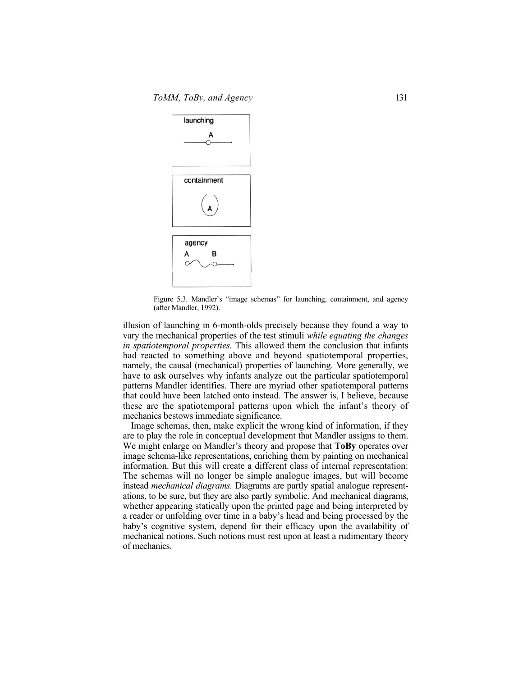

Figure 5.3. Mandler's "image schemas" for launching, containment, and agency (after Mandler, 1992).

illusion of launching in 6-month-olds precisely because they found a way to vary the mechanical properties of the test stimuli *while equating the changes in spatiotemporal properties.* This allowed them the conclusion that infants had reacted to something above and beyond spatiotemporal properties, namely, the causal (mechanical) properties of launching. More generally, we have to ask ourselves why infants analyze out the particular spatiotemporal patterns Mandler identifies. There are myriad other spatiotemporal patterns that could have been latched onto instead. The answer is, I believe, because these are the spatiotemporal patterns upon which the infant's theory of mechanics bestows immediate significance.

Image schemas, then, make explicit the wrong kind of information, if they are to play the role in conceptual development that Mandler assigns to them. We might enlarge on Mandler's theory and propose that **ToBy** operates over image schema-like representations, enriching them by painting on mechanical information. But this will create a different class of internal representation: The schemas will no longer be simple analogue images, but will become instead *mechanical diagrams.* Diagrams are partly spatial analogue representations, to be sure, but they are also partly symbolic. And mechanical diagrams, whether appearing statically upon the printed page and being interpreted by a reader or unfolding over time in a baby's head and being processed by the baby's cognitive system, depend for their efficacy upon the availability of mechanical notions. Such notions must rest upon at least a rudimentary theory of mechanics.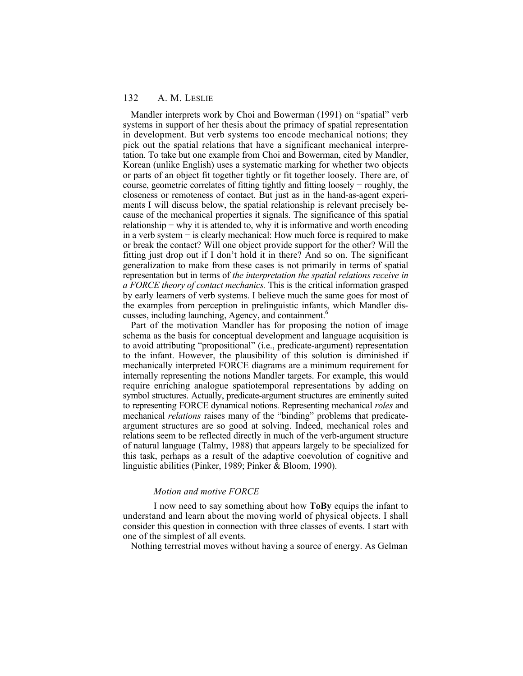Mandler interprets work by Choi and Bowerman (1991) on "spatial" verb systems in support of her thesis about the primacy of spatial representation in development. But verb systems too encode mechanical notions; they pick out the spatial relations that have a significant mechanical interpretation. To take but one example from Choi and Bowerman, cited by Mandler, Korean (unlike English) uses a systematic marking for whether two objects or parts of an object fit together tightly or fit together loosely. There are, of course, geometric correlates of fitting tightly and fitting loosely − roughly, the closeness or remoteness of contact. But just as in the hand-as-agent experiments I will discuss below, the spatial relationship is relevant precisely because of the mechanical properties it signals. The significance of this spatial relationship − why it is attended to, why it is informative and worth encoding in a verb system − is clearly mechanical: How much force is required to make or break the contact? Will one object provide support for the other? Will the fitting just drop out if I don't hold it in there? And so on. The significant generalization to make from these cases is not primarily in terms of spatial representation but in terms of *the interpretation the spatial relations receive in a FORCE theory of contact mechanics.* This is the critical information grasped by early learners of verb systems. I believe much the same goes for most of the examples from perception in prelinguistic infants, which Mandler discusses, including launching, Agency, and containment.<sup>6</sup>

Part of the motivation Mandler has for proposing the notion of image schema as the basis for conceptual development and language acquisition is to avoid attributing "propositional" (i.e., predicate-argument) representation to the infant. However, the plausibility of this solution is diminished if mechanically interpreted FORCE diagrams are a minimum requirement for internally representing the notions Mandler targets. For example, this would require enriching analogue spatiotemporal representations by adding on symbol structures. Actually, predicate-argument structures are eminently suited to representing FORCE dynamical notions. Representing mechanical *roles* and mechanical *relations* raises many of the "binding" problems that predicateargument structures are so good at solving. Indeed, mechanical roles and relations seem to be reflected directly in much of the verb-argument structure of natural language (Talmy, 1988) that appears largely to be specialized for this task, perhaps as a result of the adaptive coevolution of cognitive and linguistic abilities (Pinker, 1989; Pinker & Bloom, 1990).

#### *Motion and motive FORCE*

I now need to say something about how **ToBy** equips the infant to understand and learn about the moving world of physical objects. I shall consider this question in connection with three classes of events. I start with one of the simplest of all events.

Nothing terrestrial moves without having a source of energy. As Gelman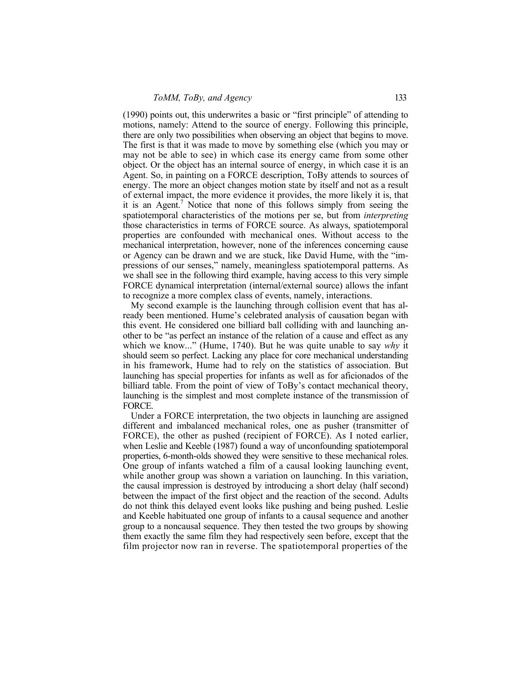(1990) points out, this underwrites a basic or "first principle" of attending to motions, namely: Attend to the source of energy. Following this principle, there are only two possibilities when observing an object that begins to move. The first is that it was made to move by something else (which you may or may not be able to see) in which case its energy came from some other object. Or the object has an internal source of energy, in which case it is an Agent. So, in painting on a FORCE description, ToBy attends to sources of energy. The more an object changes motion state by itself and not as a result of external impact, the more evidence it provides, the more likely it is, that it is an Agent.<sup>7</sup> Notice that none of this follows simply from seeing the spatiotemporal characteristics of the motions per se, but from *interpreting*  those characteristics in terms of FORCE source. As always, spatiotemporal properties are confounded with mechanical ones. Without access to the mechanical interpretation, however, none of the inferences concerning cause or Agency can be drawn and we are stuck, like David Hume, with the "impressions of our senses," namely, meaningless spatiotemporal patterns. As we shall see in the following third example, having access to this very simple FORCE dynamical interpretation (internal/external source) allows the infant to recognize a more complex class of events, namely, interactions.

My second example is the launching through collision event that has already been mentioned. Hume's celebrated analysis of causation began with this event. He considered one billiard ball colliding with and launching another to be "as perfect an instance of the relation of a cause and effect as any which we know..." (Hume, 1740). But he was quite unable to say *why* it should seem so perfect. Lacking any place for core mechanical understanding in his framework, Hume had to rely on the statistics of association. But launching has special properties for infants as well as for aficionados of the billiard table. From the point of view of ToBy's contact mechanical theory, launching is the simplest and most complete instance of the transmission of FORCE.

Under a FORCE interpretation, the two objects in launching are assigned different and imbalanced mechanical roles, one as pusher (transmitter of FORCE), the other as pushed (recipient of FORCE). As I noted earlier, when Leslie and Keeble (1987) found a way of unconfounding spatiotemporal properties, 6-month-olds showed they were sensitive to these mechanical roles. One group of infants watched a film of a causal looking launching event, while another group was shown a variation on launching. In this variation, the causal impression is destroyed by introducing a short delay (half second) between the impact of the first object and the reaction of the second. Adults do not think this delayed event looks like pushing and being pushed. Leslie and Keeble habituated one group of infants to a causal sequence and another group to a noncausal sequence. They then tested the two groups by showing them exactly the same film they had respectively seen before, except that the film projector now ran in reverse. The spatiotemporal properties of the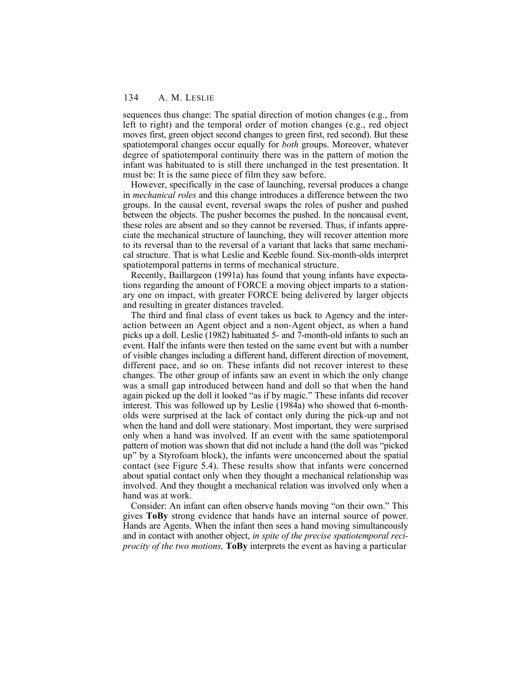sequences thus change: The spatial direction of motion changes (e.g., from left to right) and the temporal order of motion changes (e.g., red object moves first, green object second changes to green first, red second). But these spatiotemporal changes occur equally for *both* groups. Moreover, whatever degree of spatiotemporal continuity there was in the pattern of motion the infant was habituated to is still there unchanged in the test presentation. It must be: It is the same piece of film they saw before.

However, specifically in the case of launching, reversal produces a change in *mechanical roles* and this change introduces a difference between the two groups. In the causal event, reversal swaps the roles of pusher and pushed between the objects. The pusher becomes the pushed. In the noncausal event, these roles are absent and so they cannot be reversed. Thus, if infants appreciate the mechanical structure of launching, they will recover attention more to its reversal than to the reversal of a variant that lacks that same mechanical structure. That is what Leslie and Keeble found. Six-month-olds interpret spatiotemporal patterns in terms of mechanical structure.

Recently, Baillargeon (1991a) has found that young infants have expectations regarding the amount of FORCE a moving object imparts to a stationary one on impact, with greater FORCE being delivered by larger objects and resulting in greater distances traveled.

The third and final class of event takes us back to Agency and the interaction between an Agent object and a non-Agent object, as when a hand picks up a doll. Leslie (1982) habituated 5- and 7-month-old infants to such an event. Half the infants were then tested on the same event but with a number of visible changes including a different hand, different direction of movement, different pace, and so on. These infants did not recover interest to these changes. The other group of infants saw an event in which the only change was a small gap introduced between hand and doll so that when the hand again picked up the doll it looked "as if by magic." These infants did recover interest. This was followed up by Leslie (1984a) who showed that 6-montholds were surprised at the lack of contact only during the pick-up and not when the hand and doll were stationary. Most important, they were surprised only when a hand was involved. If an event with the same spatiotemporal pattern of motion was shown that did not include a hand (the doll was "picked up" by a Styrofoam block), the infants were unconcerned about the spatial contact (see Figure 5.4). These results show that infants were concerned about spatial contact only when they thought a mechanical relationship was involved. And they thought a mechanical relation was involved only when a hand was at work.

Consider: An infant can often observe hands moving "on their own." This gives **ToBy** strong evidence that hands have an internal source of power. Hands are Agents. When the infant then sees a hand moving simultaneously and in contact with another object, *in spite of the precise spatiotemporal reciprocity of the two motions,* **ToBy** interprets the event as having a particular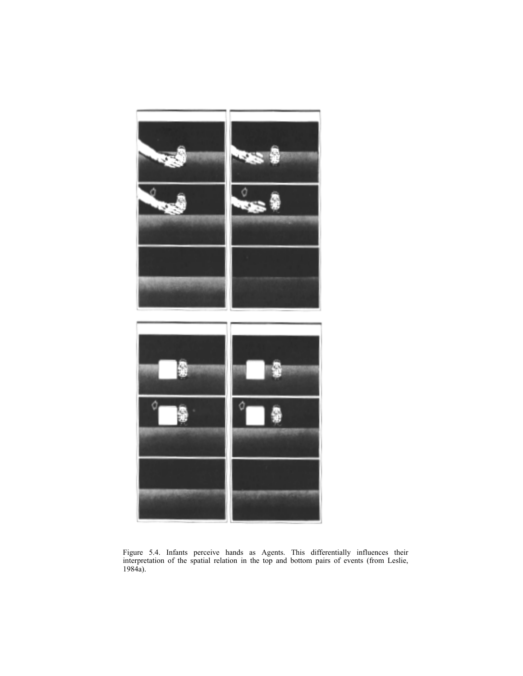

Figure 5.4. Infants perceive hands as Agents. This differentially influences their interpretation of the spatial relation in the top and bottom pairs of events (from Leslie, 1984a).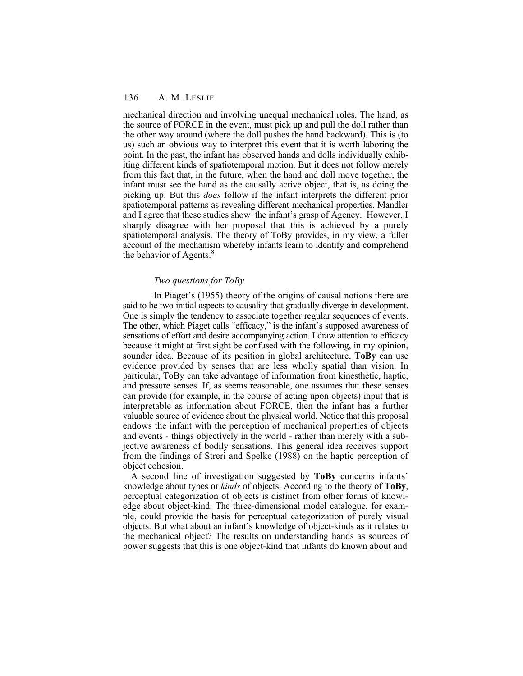mechanical direction and involving unequal mechanical roles. The hand, as the source of FORCE in the event, must pick up and pull the doll rather than the other way around (where the doll pushes the hand backward). This is (to us) such an obvious way to interpret this event that it is worth laboring the point. In the past, the infant has observed hands and dolls individually exhibiting different kinds of spatiotemporal motion. But it does not follow merely from this fact that, in the future, when the hand and doll move together, the infant must see the hand as the causally active object, that is, as doing the picking up. But this *does* follow if the infant interprets the different prior spatiotemporal patterns as revealing different mechanical properties. Mandler and I agree that these studies show the infant's grasp of Agency. However, I sharply disagree with her proposal that this is achieved by a purely spatiotemporal analysis. The theory of ToBy provides, in my view, a fuller account of the mechanism whereby infants learn to identify and comprehend the behavior of Agents.<sup>8</sup>

#### *Two questions for ToBy*

In Piaget's (1955) theory of the origins of causal notions there are said to be two initial aspects to causality that gradually diverge in development. One is simply the tendency to associate together regular sequences of events. The other, which Piaget calls "efficacy," is the infant's supposed awareness of sensations of effort and desire accompanying action. I draw attention to efficacy because it might at first sight be confused with the following, in my opinion, sounder idea. Because of its position in global architecture, **ToBy** can use evidence provided by senses that are less wholly spatial than vision. In particular, ToBy can take advantage of information from kinesthetic, haptic, and pressure senses. If, as seems reasonable, one assumes that these senses can provide (for example, in the course of acting upon objects) input that is interpretable as information about FORCE, then the infant has a further valuable source of evidence about the physical world. Notice that this proposal endows the infant with the perception of mechanical properties of objects and events - things objectively in the world - rather than merely with a subjective awareness of bodily sensations. This general idea receives support from the findings of Streri and Spelke (1988) on the haptic perception of object cohesion.

A second line of investigation suggested by **ToBy** concerns infants' knowledge about types or *kinds* of objects. According to the theory of **ToBy**, perceptual categorization of objects is distinct from other forms of knowledge about object-kind. The three-dimensional model catalogue, for example, could provide the basis for perceptual categorization of purely visual objects. But what about an infant's knowledge of object-kinds as it relates to the mechanical object? The results on understanding hands as sources of power suggests that this is one object-kind that infants do known about and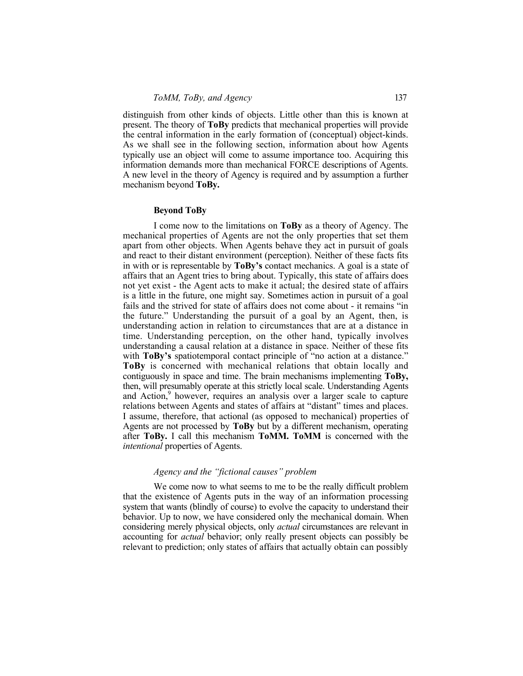distinguish from other kinds of objects. Little other than this is known at present. The theory of **ToBy** predicts that mechanical properties will provide the central information in the early formation of (conceptual) object-kinds. As we shall see in the following section, information about how Agents typically use an object will come to assume importance too. Acquiring this information demands more than mechanical FORCE descriptions of Agents. A new level in the theory of Agency is required and by assumption a further mechanism beyond **ToBy.**

#### **Beyond ToBy**

I come now to the limitations on **ToBy** as a theory of Agency. The mechanical properties of Agents are not the only properties that set them apart from other objects. When Agents behave they act in pursuit of goals and react to their distant environment (perception). Neither of these facts fits in with or is representable by **ToBy's** contact mechanics. A goal is a state of affairs that an Agent tries to bring about. Typically, this state of affairs does not yet exist - the Agent acts to make it actual; the desired state of affairs is a little in the future, one might say. Sometimes action in pursuit of a goal fails and the strived for state of affairs does not come about - it remains "in the future." Understanding the pursuit of a goal by an Agent, then, is understanding action in relation to circumstances that are at a distance in time. Understanding perception, on the other hand, typically involves understanding a causal relation at a distance in space. Neither of these fits with **ToBy's** spatiotemporal contact principle of "no action at a distance." **ToBy** is concerned with mechanical relations that obtain locally and contiguously in space and time. The brain mechanisms implementing **ToBy,**  then, will presumably operate at this strictly local scale. Understanding Agents and Action,<sup>9</sup> however, requires an analysis over a larger scale to capture relations between Agents and states of affairs at "distant" times and places. I assume, therefore, that actional (as opposed to mechanical) properties of Agents are not processed by **ToBy** but by a different mechanism, operating after **ToBy.** I call this mechanism **ToMM. ToMM** is concerned with the *intentional* properties of Agents.

#### *Agency and the "fictional causes" problem*

We come now to what seems to me to be the really difficult problem that the existence of Agents puts in the way of an information processing system that wants (blindly of course) to evolve the capacity to understand their behavior. Up to now, we have considered only the mechanical domain. When considering merely physical objects, only *actual* circumstances are relevant in accounting for *actual* behavior; only really present objects can possibly be relevant to prediction; only states of affairs that actually obtain can possibly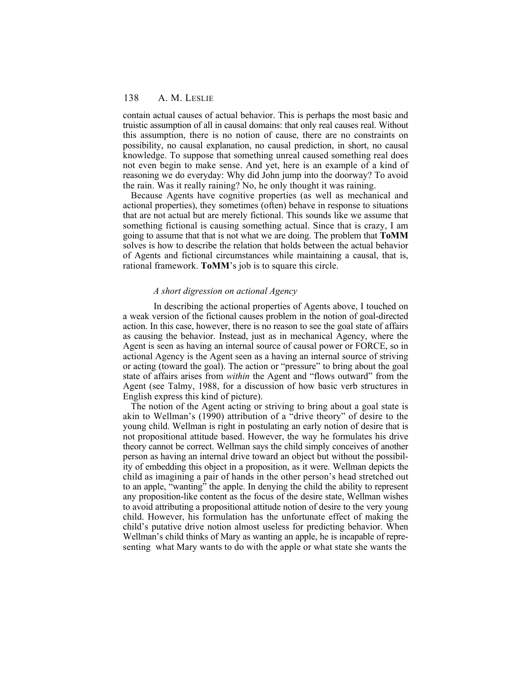contain actual causes of actual behavior. This is perhaps the most basic and truistic assumption of all in causal domains: that only real causes real. Without this assumption, there is no notion of cause, there are no constraints on possibility, no causal explanation, no causal prediction, in short, no causal knowledge. To suppose that something unreal caused something real does not even begin to make sense. And yet, here is an example of a kind of reasoning we do everyday: Why did John jump into the doorway? To avoid the rain. Was it really raining? No, he only thought it was raining.

Because Agents have cognitive properties (as well as mechanical and actional properties), they sometimes (often) behave in response to situations that are not actual but are merely fictional. This sounds like we assume that something fictional is causing something actual. Since that is crazy, I am going to assume that that is not what we are doing. The problem that **ToMM** solves is how to describe the relation that holds between the actual behavior of Agents and fictional circumstances while maintaining a causal, that is, rational framework. **ToMM**'s job is to square this circle.

# *A short digression on actional Agency*

In describing the actional properties of Agents above, I touched on a weak version of the fictional causes problem in the notion of goal-directed action. In this case, however, there is no reason to see the goal state of affairs as causing the behavior. Instead, just as in mechanical Agency, where the Agent is seen as having an internal source of causal power or FORCE, so in actional Agency is the Agent seen as a having an internal source of striving or acting (toward the goal). The action or "pressure" to bring about the goal state of affairs arises from *within* the Agent and "flows outward" from the Agent (see Talmy, 1988, for a discussion of how basic verb structures in English express this kind of picture).

The notion of the Agent acting or striving to bring about a goal state is akin to Wellman's (1990) attribution of a "drive theory" of desire to the young child. Wellman is right in postulating an early notion of desire that is not propositional attitude based. However, the way he formulates his drive theory cannot be correct. Wellman says the child simply conceives of another person as having an internal drive toward an object but without the possibility of embedding this object in a proposition, as it were. Wellman depicts the child as imagining a pair of hands in the other person's head stretched out to an apple, "wanting" the apple. In denying the child the ability to represent any proposition-like content as the focus of the desire state, Wellman wishes to avoid attributing a propositional attitude notion of desire to the very young child. However, his formulation has the unfortunate effect of making the child's putative drive notion almost useless for predicting behavior. When Wellman's child thinks of Mary as wanting an apple, he is incapable of representing what Mary wants to do with the apple or what state she wants the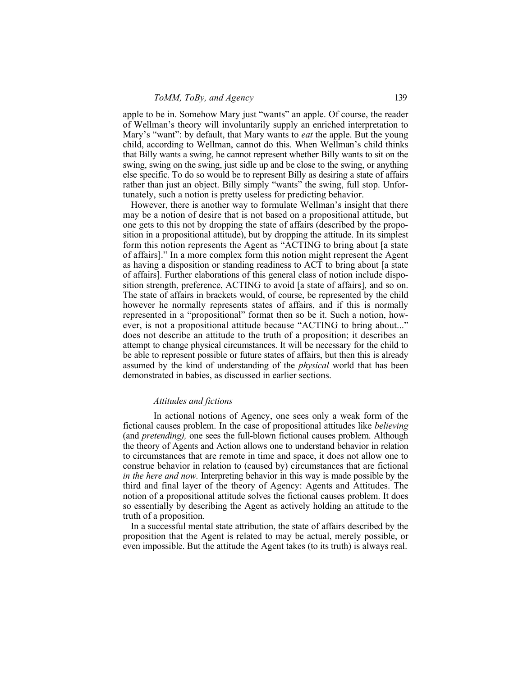apple to be in. Somehow Mary just "wants" an apple. Of course, the reader of Wellman's theory will involuntarily supply an enriched interpretation to Mary's "want": by default, that Mary wants to *eat* the apple. But the young child, according to Wellman, cannot do this. When Wellman's child thinks that Billy wants a swing, he cannot represent whether Billy wants to sit on the swing, swing on the swing, just sidle up and be close to the swing, or anything else specific. To do so would be to represent Billy as desiring a state of affairs rather than just an object. Billy simply "wants" the swing, full stop. Unfortunately, such a notion is pretty useless for predicting behavior.

However, there is another way to formulate Wellman's insight that there may be a notion of desire that is not based on a propositional attitude, but one gets to this not by dropping the state of affairs (described by the proposition in a propositional attitude), but by dropping the attitude. In its simplest form this notion represents the Agent as "ACTING to bring about [a state of affairs]." In a more complex form this notion might represent the Agent as having a disposition or standing readiness to ACT to bring about [a state of affairs]. Further elaborations of this general class of notion include disposition strength, preference, ACTING to avoid [a state of affairs], and so on. The state of affairs in brackets would, of course, be represented by the child however he normally represents states of affairs, and if this is normally represented in a "propositional" format then so be it. Such a notion, however, is not a propositional attitude because "ACTING to bring about..." does not describe an attitude to the truth of a proposition; it describes an attempt to change physical circumstances. It will be necessary for the child to be able to represent possible or future states of affairs, but then this is already assumed by the kind of understanding of the *physical* world that has been demonstrated in babies, as discussed in earlier sections.

#### *Attitudes and fictions*

In actional notions of Agency, one sees only a weak form of the fictional causes problem. In the case of propositional attitudes like *believing*  (and *pretending),* one sees the full-blown fictional causes problem. Although the theory of Agents and Action allows one to understand behavior in relation to circumstances that are remote in time and space, it does not allow one to construe behavior in relation to (caused by) circumstances that are fictional *in the here and now.* Interpreting behavior in this way is made possible by the third and final layer of the theory of Agency: Agents and Attitudes. The notion of a propositional attitude solves the fictional causes problem. It does so essentially by describing the Agent as actively holding an attitude to the truth of a proposition.

In a successful mental state attribution, the state of affairs described by the proposition that the Agent is related to may be actual, merely possible, or even impossible. But the attitude the Agent takes (to its truth) is always real.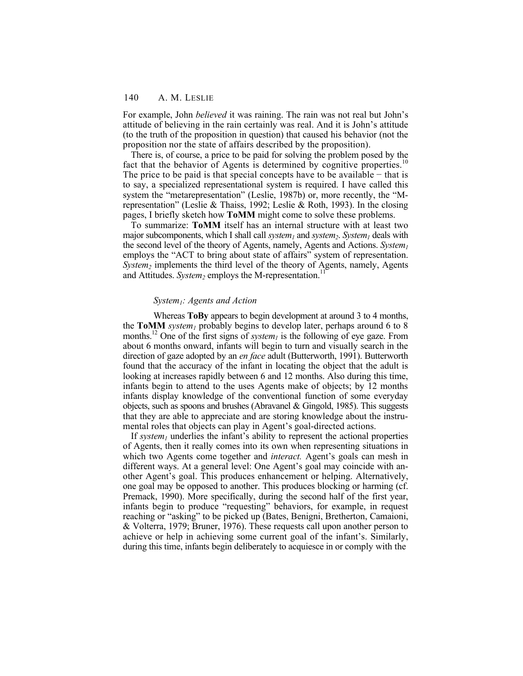For example, John *believed* it was raining. The rain was not real but John's attitude of believing in the rain certainly was real. And it is John's attitude (to the truth of the proposition in question) that caused his behavior (not the proposition nor the state of affairs described by the proposition).

There is, of course, a price to be paid for solving the problem posed by the fact that the behavior of Agents is determined by cognitive properties.<sup>10</sup> The price to be paid is that special concepts have to be available − that is to say, a specialized representational system is required. I have called this system the "metarepresentation" (Leslie, 1987b) or, more recently, the "Mrepresentation" (Leslie & Thaiss, 1992; Leslie & Roth, 1993). In the closing pages, I briefly sketch how **ToMM** might come to solve these problems.

To summarize: **ToMM** itself has an internal structure with at least two major subcomponents, which I shall call *system<sub>1</sub>* and *system<sub>2</sub>*. *System<sub>1</sub>* deals with the second level of the theory of Agents, namely, Agents and Actions. *System* employs the "ACT to bring about state of affairs" system of representation. *System<sub>2</sub>* implements the third level of the theory of Agents, namely, Agents and Attitudes. *System<sub>2</sub>* employs the M-representation.<sup>1</sup>

#### *System1: Agents and Action*

Whereas **ToBy** appears to begin development at around 3 to 4 months, the **ToMM** *system<sub>1</sub>* probably begins to develop later, perhaps around 6 to 8 months.<sup>12</sup> One of the first signs of *system<sub>1</sub>* is the following of eye gaze. From about 6 months onward, infants will begin to turn and visually search in the direction of gaze adopted by an *en face* adult (Butterworth, 1991). Butterworth found that the accuracy of the infant in locating the object that the adult is looking at increases rapidly between 6 and 12 months. Also during this time, infants begin to attend to the uses Agents make of objects; by 12 months infants display knowledge of the conventional function of some everyday objects, such as spoons and brushes (Abravanel & Gingold, 1985). This suggests that they are able to appreciate and are storing knowledge about the instrumental roles that objects can play in Agent's goal-directed actions.

If  $system<sub>1</sub>$  underlies the infant's ability to represent the actional properties of Agents, then it really comes into its own when representing situations in which two Agents come together and *interact.* Agent's goals can mesh in different ways. At a general level: One Agent's goal may coincide with another Agent's goal. This produces enhancement or helping. Alternatively, one goal may be opposed to another. This produces blocking or harming (cf. Premack, 1990). More specifically, during the second half of the first year, infants begin to produce "requesting" behaviors, for example, in request reaching or "asking" to be picked up (Bates, Benigni, Bretherton, Camaioni, & Volterra, 1979; Bruner, 1976). These requests call upon another person to achieve or help in achieving some current goal of the infant's. Similarly, during this time, infants begin deliberately to acquiesce in or comply with the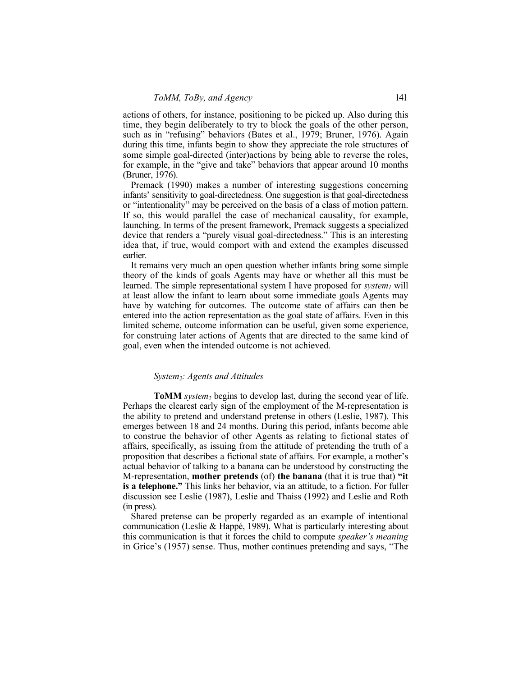actions of others, for instance, positioning to be picked up. Also during this time, they begin deliberately to try to block the goals of the other person, such as in "refusing" behaviors (Bates et al., 1979; Bruner, 1976). Again during this time, infants begin to show they appreciate the role structures of some simple goal-directed (inter)actions by being able to reverse the roles, for example, in the "give and take" behaviors that appear around 10 months (Bruner, 1976).

Premack (1990) makes a number of interesting suggestions concerning infants' sensitivity to goal-directedness. One suggestion is that goal-directedness or "intentionality" may be perceived on the basis of a class of motion pattern. If so, this would parallel the case of mechanical causality, for example, launching. In terms of the present framework, Premack suggests a specialized device that renders a "purely visual goal-directedness." This is an interesting idea that, if true, would comport with and extend the examples discussed earlier.

It remains very much an open question whether infants bring some simple theory of the kinds of goals Agents may have or whether all this must be learned. The simple representational system I have proposed for  $system<sub>1</sub>$  will at least allow the infant to learn about some immediate goals Agents may have by watching for outcomes. The outcome state of affairs can then be entered into the action representation as the goal state of affairs. Even in this limited scheme, outcome information can be useful, given some experience, for construing later actions of Agents that are directed to the same kind of goal, even when the intended outcome is not achieved.

#### *System2: Agents and Attitudes*

**ToMM** *system*<sub>2</sub> begins to develop last, during the second year of life. Perhaps the clearest early sign of the employment of the M-representation is the ability to pretend and understand pretense in others (Leslie, 1987). This emerges between 18 and 24 months. During this period, infants become able to construe the behavior of other Agents as relating to fictional states of affairs, specifically, as issuing from the attitude of pretending the truth of a proposition that describes a fictional state of affairs. For example, a mother's actual behavior of talking to a banana can be understood by constructing the M-representation, **mother pretends** (of) **the banana** (that it is true that) **"it is a telephone."** This links her behavior, via an attitude, to a fiction. For fuller discussion see Leslie (1987), Leslie and Thaiss (1992) and Leslie and Roth (in press).

Shared pretense can be properly regarded as an example of intentional communication (Leslie & Happé, 1989). What is particularly interesting about this communication is that it forces the child to compute *speaker's meaning*  in Grice's (1957) sense. Thus, mother continues pretending and says, "The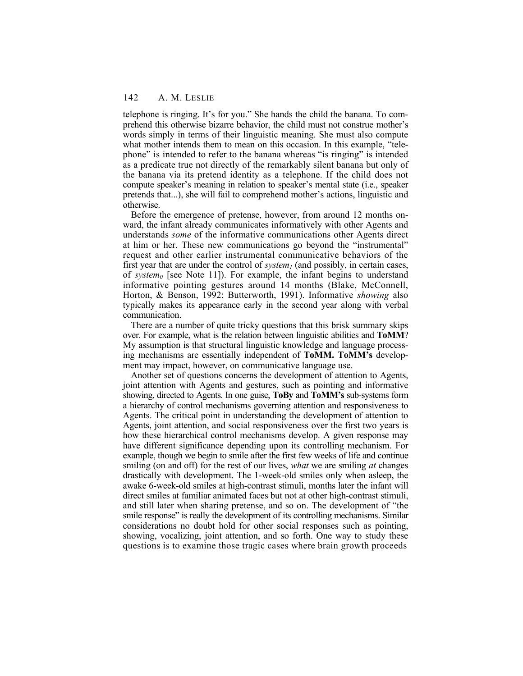telephone is ringing. It's for you." She hands the child the banana. To comprehend this otherwise bizarre behavior, the child must not construe mother's words simply in terms of their linguistic meaning. She must also compute what mother intends them to mean on this occasion. In this example, "telephone" is intended to refer to the banana whereas "is ringing" is intended as a predicate true not directly of the remarkably silent banana but only of the banana via its pretend identity as a telephone. If the child does not compute speaker's meaning in relation to speaker's mental state (i.e., speaker pretends that...), she will fail to comprehend mother's actions, linguistic and otherwise.

Before the emergence of pretense, however, from around 12 months onward, the infant already communicates informatively with other Agents and understands *some* of the informative communications other Agents direct at him or her. These new communications go beyond the "instrumental" request and other earlier instrumental communicative behaviors of the first year that are under the control of *system<sub>1</sub>* (and possibly, in certain cases, of *system<sub>0</sub>* [see Note 11]). For example, the infant begins to understand informative pointing gestures around 14 months (Blake, McConnell, Horton, & Benson, 1992; Butterworth, 1991). Informative *showing* also typically makes its appearance early in the second year along with verbal communication.

There are a number of quite tricky questions that this brisk summary skips over. For example, what is the relation between linguistic abilities and **ToMM**? My assumption is that structural linguistic knowledge and language processing mechanisms are essentially independent of **ToMM. ToMM's** development may impact, however, on communicative language use.

Another set of questions concerns the development of attention to Agents, joint attention with Agents and gestures, such as pointing and informative showing, directed to Agents. In one guise, **ToBy** and **ToMM's** sub-systems form a hierarchy of control mechanisms governing attention and responsiveness to Agents. The critical point in understanding the development of attention to Agents, joint attention, and social responsiveness over the first two years is how these hierarchical control mechanisms develop. A given response may have different significance depending upon its controlling mechanism. For example, though we begin to smile after the first few weeks of life and continue smiling (on and off) for the rest of our lives, *what* we are smiling *at* changes drastically with development. The 1-week-old smiles only when asleep, the awake 6-week-old smiles at high-contrast stimuli, months later the infant will direct smiles at familiar animated faces but not at other high-contrast stimuli, and still later when sharing pretense, and so on. The development of "the smile response" is really the development of its controlling mechanisms. Similar considerations no doubt hold for other social responses such as pointing, showing, vocalizing, joint attention, and so forth. One way to study these questions is to examine those tragic cases where brain growth proceeds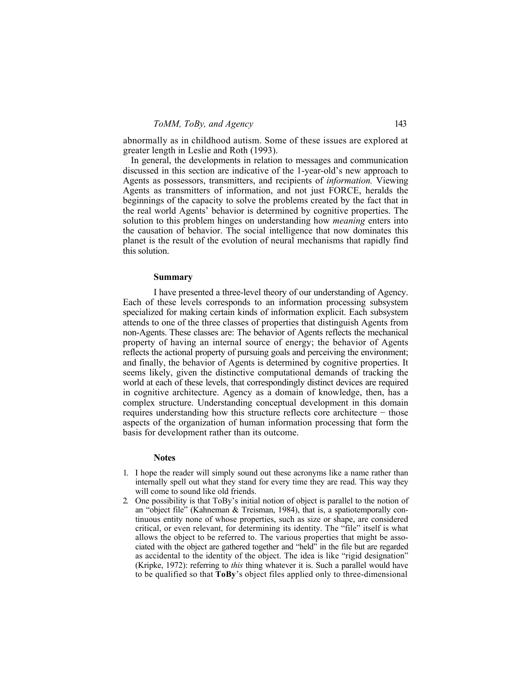abnormally as in childhood autism. Some of these issues are explored at greater length in Leslie and Roth (1993).

In general, the developments in relation to messages and communication discussed in this section are indicative of the 1-year-old's new approach to Agents as possessors, transmitters, and recipients of *information.* Viewing Agents as transmitters of information, and not just FORCE, heralds the beginnings of the capacity to solve the problems created by the fact that in the real world Agents' behavior is determined by cognitive properties. The solution to this problem hinges on understanding how *meaning* enters into the causation of behavior. The social intelligence that now dominates this planet is the result of the evolution of neural mechanisms that rapidly find this solution.

#### **Summary**

I have presented a three-level theory of our understanding of Agency. Each of these levels corresponds to an information processing subsystem specialized for making certain kinds of information explicit. Each subsystem attends to one of the three classes of properties that distinguish Agents from non-Agents. These classes are: The behavior of Agents reflects the mechanical property of having an internal source of energy; the behavior of Agents reflects the actional property of pursuing goals and perceiving the environment; and finally, the behavior of Agents is determined by cognitive properties. It seems likely, given the distinctive computational demands of tracking the world at each of these levels, that correspondingly distinct devices are required in cognitive architecture. Agency as a domain of knowledge, then, has a complex structure. Understanding conceptual development in this domain requires understanding how this structure reflects core architecture − those aspects of the organization of human information processing that form the basis for development rather than its outcome.

#### **Notes**

- 1. I hope the reader will simply sound out these acronyms like a name rather than internally spell out what they stand for every time they are read. This way they will come to sound like old friends.
- 2. One possibility is that ToBy's initial notion of object is parallel to the notion of an "object file" (Kahneman & Treisman, 1984), that is, a spatiotemporally continuous entity none of whose properties, such as size or shape, are considered critical, or even relevant, for determining its identity. The "file" itself is what allows the object to be referred to. The various properties that might be associated with the object are gathered together and "held" in the file but are regarded as accidental to the identity of the object. The idea is like "rigid designation" (Kripke, 1972): referring to *this* thing whatever it is. Such a parallel would have to be qualified so that **ToBy**'s object files applied only to three-dimensional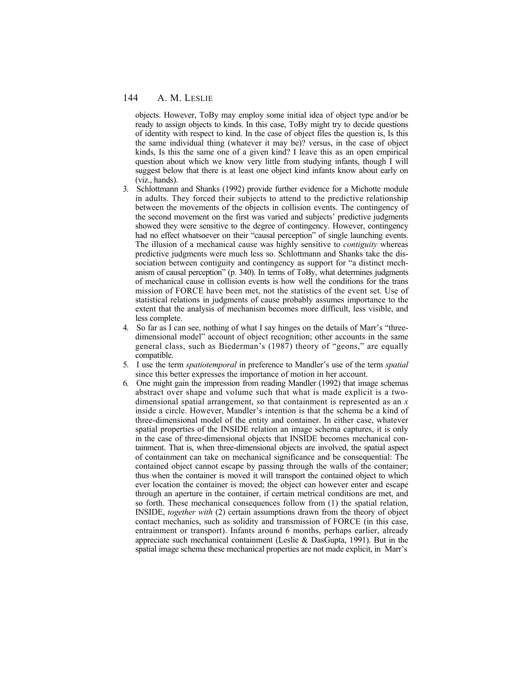objects. However, ToBy may employ some initial idea of object type and/or be ready to assign objects to kinds. In this case, ToBy might try to decide questions of identity with respect to kind. In the case of object files the question is, Is this the same individual thing (whatever it may be)? versus, in the case of object kinds, Is this the same one of a given kind? I leave this as an open empirical question about which we know very little from studying infants, though I will suggest below that there is at least one object kind infants know about early on (viz., hands).

- 3. Schlottmann and Shanks (1992) provide further evidence for a Michotte module in adults. They forced their subjects to attend to the predictive relationship between the movements of the objects in collision events. The contingency of the second movement on the first was varied and subjects' predictive judgments showed they were sensitive to the degree of contingency. However, contingency had no effect whatsoever on their "causal perception" of single launching events. The illusion of a mechanical cause was highly sensitive to *contiguity* whereas predictive judgments were much less so. Schlottmann and Shanks take the dissociation between contiguity and contingency as support for "a distinct mechanism of causal perception" (p. 340). In terms of ToBy, what determines judgments of mechanical cause in collision events is how well the conditions for the trans mission of FORCE have been met, not the statistics of the event set. Use of statistical relations in judgments of cause probably assumes importance to the extent that the analysis of mechanism becomes more difficult, less visible, and less complete.
- 4. So far as I can see, nothing of what I say hinges on the details of Marr's "threedimensional model" account of object recognition; other accounts in the same general class, such as Biederman's (1987) theory of "geons," are equally compatible.
- 5. I use the term *spatiotemporal* in preference to Mandler's use of the term *spatial*  since this better expresses the importance of motion in her account.
- 6. One might gain the impression from reading Mandler (1992) that image schemas abstract over shape and volume such that what is made explicit is a twodimensional spatial arrangement, so that containment is represented as an *x*  inside a circle. However, Mandler's intention is that the schema be a kind of three-dimensional model of the entity and container. In either case, whatever spatial properties of the INSIDE relation an image schema captures, it is only in the case of three-dimensional objects that INSIDE becomes mechanical containment. That is, when three-dimensional objects are involved, the spatial aspect of containment can take on mechanical significance and be consequential: The contained object cannot escape by passing through the walls of the container; thus when the container is moved it will transport the contained object to which ever location the container is moved; the object can however enter and escape through an aperture in the container, if certain metrical conditions are met, and so forth. These mechanical consequences follow from (1) the spatial relation, INSIDE, *together with* (2) certain assumptions drawn from the theory of object contact mechanics, such as solidity and transmission of FORCE (in this case, entrainment or transport). Infants around 6 months, perhaps earlier, already appreciate such mechanical containment (Leslie & DasGupta, 1991). But in the spatial image schema these mechanical properties are not made explicit, in Marr's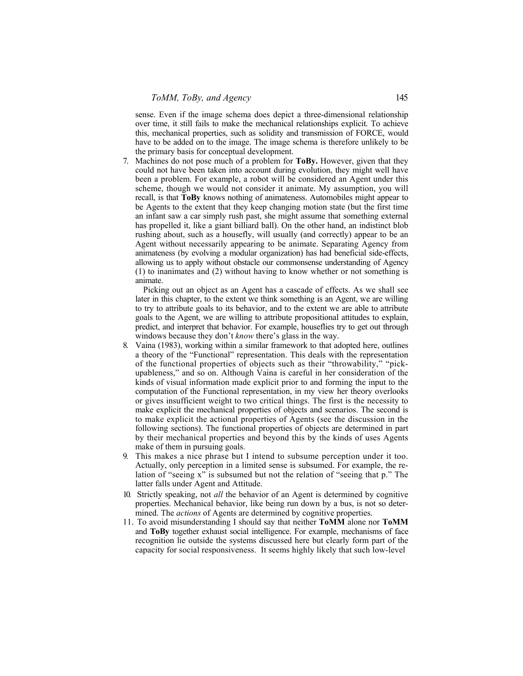sense. Even if the image schema does depict a three-dimensional relationship over time, it still fails to make the mechanical relationships explicit. To achieve this, mechanical properties, such as solidity and transmission of FORCE, would have to be added on to the image. The image schema is therefore unlikely to be the primary basis for conceptual development.

7. Machines do not pose much of a problem for **ToBy.** However, given that they could not have been taken into account during evolution, they might well have been a problem. For example, a robot will be considered an Agent under this scheme, though we would not consider it animate. My assumption, you will recall, is that **ToBy** knows nothing of animateness. Automobiles might appear to be Agents to the extent that they keep changing motion state (but the first time an infant saw a car simply rush past, she might assume that something external has propelled it, like a giant billiard ball). On the other hand, an indistinct blob rushing about, such as a housefly, will usually (and correctly) appear to be an Agent without necessarily appearing to be animate. Separating Agency from animateness (by evolving a modular organization) has had beneficial side-effects, allowing us to apply without obstacle our commonsense understanding of Agency (1) to inanimates and (2) without having to know whether or not something is animate.

Picking out an object as an Agent has a cascade of effects. As we shall see later in this chapter, to the extent we think something is an Agent, we are willing to try to attribute goals to its behavior, and to the extent we are able to attribute goals to the Agent, we are willing to attribute propositional attitudes to explain, predict, and interpret that behavior. For example, houseflies try to get out through windows because they don't *know* there's glass in the way.

- 8. Vaina (1983), working within a similar framework to that adopted here, outlines a theory of the "Functional" representation. This deals with the representation of the functional properties of objects such as their "throwability," "pickupableness," and so on. Although Vaina is careful in her consideration of the kinds of visual information made explicit prior to and forming the input to the computation of the Functional representation, in my view her theory overlooks or gives insufficient weight to two critical things. The first is the necessity to make explicit the mechanical properties of objects and scenarios. The second is to make explicit the actional properties of Agents (see the discussion in the following sections). The functional properties of objects are determined in part by their mechanical properties and beyond this by the kinds of uses Agents make of them in pursuing goals.
- 9. This makes a nice phrase but I intend to subsume perception under it too. Actually, only perception in a limited sense is subsumed. For example, the relation of "seeing x" is subsumed but not the relation of "seeing that p." The latter falls under Agent and Attitude.
- 10. Strictly speaking, not *all* the behavior of an Agent is determined by cognitive properties. Mechanical behavior, like being run down by a bus, is not so determined. The *actions* of Agents are determined by cognitive properties.
- 11. To avoid misunderstanding I should say that neither **ToMM** alone nor **ToMM**  and **ToBy** together exhaust social intelligence. For example, mechanisms of face recognition lie outside the systems discussed here but clearly form part of the capacity for social responsiveness. It seems highly likely that such low-level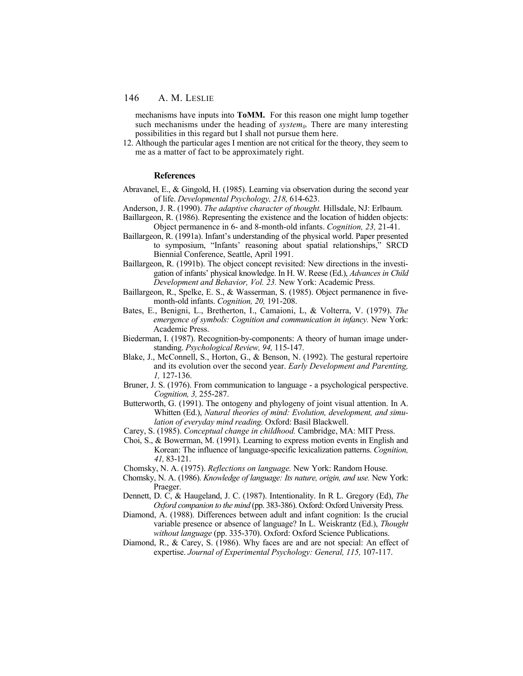mechanisms have inputs into **ToMM.** For this reason one might lump together such mechanisms under the heading of *system*<sub>0</sub>. There are many interesting possibilities in this regard but I shall not pursue them here.

12. Although the particular ages I mention are not critical for the theory, they seem to me as a matter of fact to be approximately right.

#### **References**

- Abravanel, E., & Gingold, H. (1985). Learning via observation during the second year of life. *Developmental Psychology, 218,* 614-623.
- Anderson, J. R. (1990). *The adaptive character of thought.* Hillsdale, NJ: Erlbaum.
- Baillargeon, R. (1986). Representing the existence and the location of hidden objects: Object permanence in 6- and 8-month-old infants. *Cognition, 23,* 21-41.
- Baillargeon, R. (1991a). Infant's understanding of the physical world. Paper presented to symposium, "Infants' reasoning about spatial relationships," SRCD Biennial Conference, Seattle, April 1991.
- Baillargeon, R. (1991b). The object concept revisited: New directions in the investigation of infants' physical knowledge. In H. W. Reese (Ed.), *Advances in Child Development and Behavior, Vol. 23.* New York: Academic Press.
- Baillargeon, R., Spelke, E. S., & Wasserman, S. (1985). Object permanence in fivemonth-old infants. *Cognition, 20,* 191-208.
- Bates, E., Benigni, L., Bretherton, I., Camaioni, L, & Volterra, V. (1979). *The emergence of symbols: Cognition and communication in infancy.* New York: Academic Press.
- Biederman, I. (1987). Recognition-by-components: A theory of human image understanding. *Psychological Review, 94,* 115-147.
- Blake, J., McConnell, S., Horton, G., & Benson, N. (1992). The gestural repertoire and its evolution over the second year. *Early Development and Parenting, 1,* 127-136.
- Bruner, J. S. (1976). From communication to language a psychological perspective. *Cognition, 3,* 255-287.
- Butterworth, G. (1991). The ontogeny and phylogeny of joint visual attention. In A. Whitten (Ed.), *Natural theories of mind: Evolution, development, and simulation of everyday mind reading.* Oxford: Basil Blackwell.
- Carey, S. (1985). *Conceptual change in childhood.* Cambridge, MA: MIT Press.
- Choi, S., & Bowerman, M. (1991). Learning to express motion events in English and Korean: The influence of language-specific lexicalization patterns. *Cognition, 41,* 83-121.
- Chomsky, N. A. (1975). *Reflections on language.* New York: Random House.
- Chomsky, N. A. (1986). *Knowledge of language: Its nature, origin, and use.* New York: Praeger.
- Dennett, D. C, & Haugeland, J. C. (1987). Intentionality. In R L. Gregory (Ed), *The Oxford companion to the mind* (pp. 383-386). Oxford: Oxford University Press.
- Diamond, A. (1988). Differences between adult and infant cognition: Is the crucial variable presence or absence of language? In L. Weiskrantz (Ed.), *Thought without language* (pp. 335-370). Oxford: Oxford Science Publications.
- Diamond, R., & Carey, S. (1986). Why faces are and are not special: An effect of expertise. *Journal of Experimental Psychology: General, 115,* 107-117.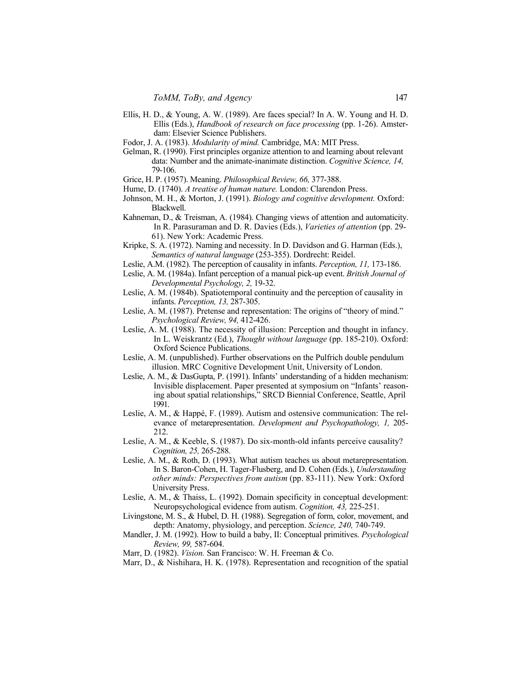- Ellis, H. D., & Young, A. W. (1989). Are faces special? In A. W. Young and H. D. Ellis (Eds.), *Handbook of research on face processing* (pp. 1-26). Amsterdam: Elsevier Science Publishers.
- Fodor, J. A. (1983). *Modularity of mind.* Cambridge, MA: MIT Press.
- Gelman, R. (1990). First principles organize attention to and learning about relevant data: Number and the animate-inanimate distinction. *Cognitive Science, 14,* 79-106.
- Grice, H. P. (1957). Meaning. *Philosophical Review, 66,* 377-388.
- Hume, D. (1740). *A treatise of human nature.* London: Clarendon Press.
- Johnson, M. H., & Morton, J. (1991). *Biology and cognitive development.* Oxford: Blackwell.
- Kahneman, D., & Treisman, A. (1984). Changing views of attention and automaticity. In R. Parasuraman and D. R. Davies (Eds.), *Varieties of attention* (pp. 29- 61). New York: Academic Press.
- Kripke, S. A. (1972). Naming and necessity. In D. Davidson and G. Harman (Eds.), *Semantics of natural language* (253-355). Dordrecht: Reidel.
- Leslie, A.M. (1982). The perception of causality in infants. *Perception, 11,* 173-186.
- Leslie, A. M. (1984a). Infant perception of a manual pick-up event. *British Journal of Developmental Psychology, 2,* 19-32.
- Leslie, A. M. (1984b). Spatiotemporal continuity and the perception of causality in infants. *Perception, 13,* 287-305.
- Leslie, A. M. (1987). Pretense and representation: The origins of "theory of mind." *Psychological Review, 94,* 412-426.
- Leslie, A. M. (1988). The necessity of illusion: Perception and thought in infancy. In L. Weiskrantz (Ed.), *Thought without language* (pp. 185-210). Oxford: Oxford Science Publications.
- Leslie, A. M. (unpublished). Further observations on the Pulfrich double pendulum illusion. MRC Cognitive Development Unit, University of London.
- Leslie, A. M., & DasGupta, P. (1991). Infants' understanding of a hidden mechanism: Invisible displacement. Paper presented at symposium on "Infants' reasoning about spatial relationships," SRCD Biennial Conference, Seattle, April 1991.
- Leslie, A. M., & Happé, F. (1989). Autism and ostensive communication: The relevance of metarepresentation. *Development and Psychopathology, 1,* 205- 212.
- Leslie, A. M., & Keeble, S. (1987). Do six-month-old infants perceive causality? *Cognition, 25,* 265-288.
- Leslie, A. M., & Roth, D. (1993). What autism teaches us about metarepresentation. In S. Baron-Cohen, H. Tager-Flusberg, and D. Cohen (Eds.), *Understanding other minds: Perspectives from autism* (pp. 83-111). New York: Oxford University Press.
- Leslie, A. M., & Thaiss, L. (1992). Domain specificity in conceptual development: Neuropsychological evidence from autism. *Cognition, 43,* 225-251.
- Livingstone, M. S., & Hubel, D. H. (1988). Segregation of form, color, movement, and depth: Anatomy, physiology, and perception. *Science, 240,* 740-749.
- Mandler, J. M. (1992). How to build a baby, II: Conceptual primitives. *Psychological Review, 99,* 587-604.
- Marr, D. (1982). *Vision.* San Francisco: W. H. Freeman & Co.
- Marr, D., & Nishihara, H. K. (1978). Representation and recognition of the spatial